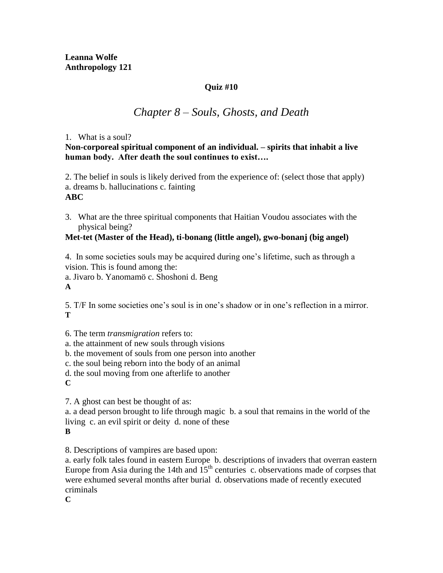## **Quiz #10**

## *Chapter 8 – Souls, Ghosts, and Death*

### 1. What is a soul?

**Non-corporeal spiritual component of an individual. – spirits that inhabit a live human body. After death the soul continues to exist….**

2. The belief in souls is likely derived from the experience of: (select those that apply) a. dreams b. hallucinations c. fainting **ABC**

3. What are the three spiritual components that Haitian Voudou associates with the physical being?

## **Met-tet (Master of the Head), ti-bonang (little angel), gwo-bonanj (big angel)**

4. In some societies souls may be acquired during one's lifetime, such as through a vision. This is found among the:

a. Jivaro b. Yanomamö c. Shoshoni d. Beng

**A**

5. T/F In some societies one's soul is in one's shadow or in one's reflection in a mirror. **T**

6. The term *transmigration* refers to:

a. the attainment of new souls through visions

b. the movement of souls from one person into another

c. the soul being reborn into the body of an animal

d. the soul moving from one afterlife to another

**C**

7. A ghost can best be thought of as:

a. a dead person brought to life through magic b. a soul that remains in the world of the living c. an evil spirit or deity d. none of these

**B**

8. Descriptions of vampires are based upon:

a. early folk tales found in eastern Europe b. descriptions of invaders that overran eastern Europe from Asia during the 14th and  $15<sup>th</sup>$  centuries c. observations made of corpses that were exhumed several months after burial d. observations made of recently executed criminals

**C**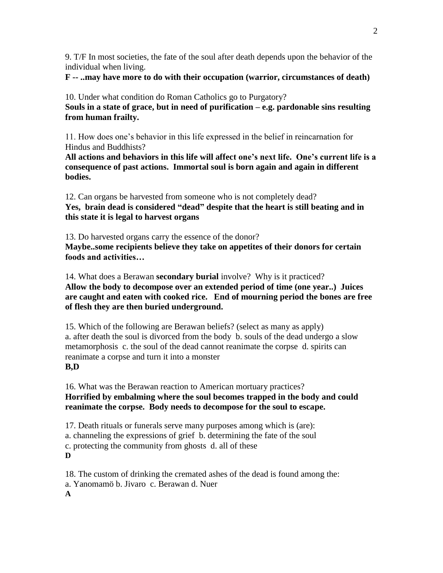9. T/F In most societies, the fate of the soul after death depends upon the behavior of the individual when living.

**F -- ..may have more to do with their occupation (warrior, circumstances of death)**

10. Under what condition do Roman Catholics go to Purgatory? **Souls in a state of grace, but in need of purification – e.g. pardonable sins resulting from human frailty.** 

11. How does one's behavior in this life expressed in the belief in reincarnation for Hindus and Buddhists?

**All actions and behaviors in this life will affect one's next life. One's current life is a consequence of past actions. Immortal soul is born again and again in different bodies.**

12. Can organs be harvested from someone who is not completely dead? **Yes, brain dead is considered "dead" despite that the heart is still beating and in this state it is legal to harvest organs**

13. Do harvested organs carry the essence of the donor? **Maybe..some recipients believe they take on appetites of their donors for certain foods and activities…**

14. What does a Berawan **secondary burial** involve? Why is it practiced? **Allow the body to decompose over an extended period of time (one year..) Juices are caught and eaten with cooked rice. End of mourning period the bones are free of flesh they are then buried underground.**

15. Which of the following are Berawan beliefs? (select as many as apply) a. after death the soul is divorced from the body b. souls of the dead undergo a slow metamorphosis c. the soul of the dead cannot reanimate the corpse d. spirits can reanimate a corpse and turn it into a monster **B,D**

16. What was the Berawan reaction to American mortuary practices? **Horrified by embalming where the soul becomes trapped in the body and could reanimate the corpse. Body needs to decompose for the soul to escape.**

17. Death rituals or funerals serve many purposes among which is (are): a. channeling the expressions of grief b. determining the fate of the soul c. protecting the community from ghosts d. all of these **D**

18. The custom of drinking the cremated ashes of the dead is found among the: a. Yanomamö b. Jivaro c. Berawan d. Nuer **A**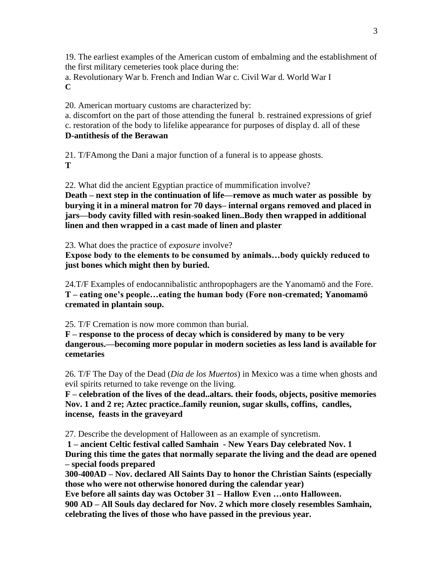19. The earliest examples of the American custom of embalming and the establishment of the first military cemeteries took place during the:

a. Revolutionary War b. French and Indian War c. Civil War d. World War I **C**

20. American mortuary customs are characterized by:

a. discomfort on the part of those attending the funeral b. restrained expressions of grief c. restoration of the body to lifelike appearance for purposes of display d. all of these **D-antithesis of the Berawan**

21. T/FAmong the Dani a major function of a funeral is to appease ghosts. **T**

22. What did the ancient Egyptian practice of mummification involve? **Death – next step in the continuation of life—remove as much water as possible by burying it in a mineral matron for 70 days– internal organs removed and placed in jars—body cavity filled with resin-soaked linen..Body then wrapped in additional linen and then wrapped in a cast made of linen and plaster**

23. What does the practice of *exposure* involve?

**Expose body to the elements to be consumed by animals…body quickly reduced to just bones which might then by buried.**

24.T/F Examples of endocannibalistic anthropophagers are the Yanomamö and the Fore. **T – eating one's people…eating the human body (Fore non-cremated; Yanomamö cremated in plantain soup.**

25. T/F Cremation is now more common than burial.

**F – response to the process of decay which is considered by many to be very dangerous.—becoming more popular in modern societies as less land is available for cemetaries**

26. T/F The Day of the Dead (*Dia de los Muertos*) in Mexico was a time when ghosts and evil spirits returned to take revenge on the living.

**F – celebration of the lives of the dead..altars. their foods, objects, positive memories Nov. 1 and 2 re; Aztec practice..family reunion, sugar skulls, coffins, candles, incense, feasts in the graveyard** 

27. Describe the development of Halloween as an example of syncretism.

**1 – ancient Celtic festival called Samhain - New Years Day celebrated Nov. 1 During this time the gates that normally separate the living and the dead are opened – special foods prepared**

**300-400AD – Nov. declared All Saints Day to honor the Christian Saints (especially those who were not otherwise honored during the calendar year)**

**Eve before all saints day was October 31 – Hallow Even …onto Halloween. 900 AD – All Souls day declared for Nov. 2 which more closely resembles Samhain, celebrating the lives of those who have passed in the previous year.**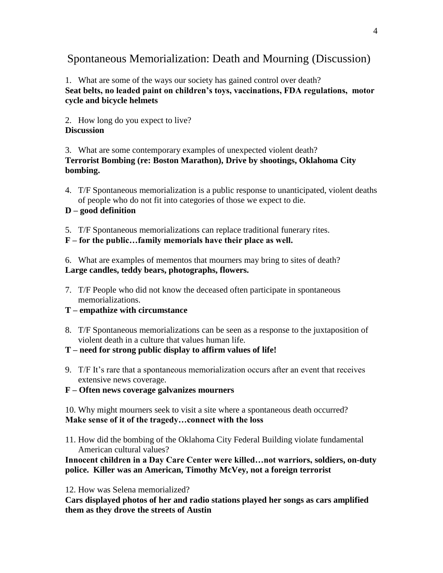# Spontaneous Memorialization: Death and Mourning (Discussion)

## 1. What are some of the ways our society has gained control over death? **Seat belts, no leaded paint on children's toys, vaccinations, FDA regulations, motor cycle and bicycle helmets**

2. How long do you expect to live? **Discussion**

3. What are some contemporary examples of unexpected violent death?

**Terrorist Bombing (re: Boston Marathon), Drive by shootings, Oklahoma City bombing.**

4. T/F Spontaneous memorialization is a public response to unanticipated, violent deaths of people who do not fit into categories of those we expect to die.

## **D – good definition**

5. T/F Spontaneous memorializations can replace traditional funerary rites.

**F – for the public…family memorials have their place as well.**

6. What are examples of mementos that mourners may bring to sites of death? **Large candles, teddy bears, photographs, flowers.**

- 7. T/F People who did not know the deceased often participate in spontaneous memorializations.
- **T – empathize with circumstance**
- 8. T/F Spontaneous memorializations can be seen as a response to the juxtaposition of violent death in a culture that values human life.
- **T – need for strong public display to affirm values of life!**
- 9. T/F It's rare that a spontaneous memorialization occurs after an event that receives extensive news coverage.

**F – Often news coverage galvanizes mourners**

10. Why might mourners seek to visit a site where a spontaneous death occurred? **Make sense of it of the tragedy…connect with the loss**

11. How did the bombing of the Oklahoma City Federal Building violate fundamental American cultural values?

**Innocent children in a Day Care Center were killed…not warriors, soldiers, on-duty police. Killer was an American, Timothy McVey, not a foreign terrorist**

12. How was Selena memorialized?

**Cars displayed photos of her and radio stations played her songs as cars amplified them as they drove the streets of Austin**